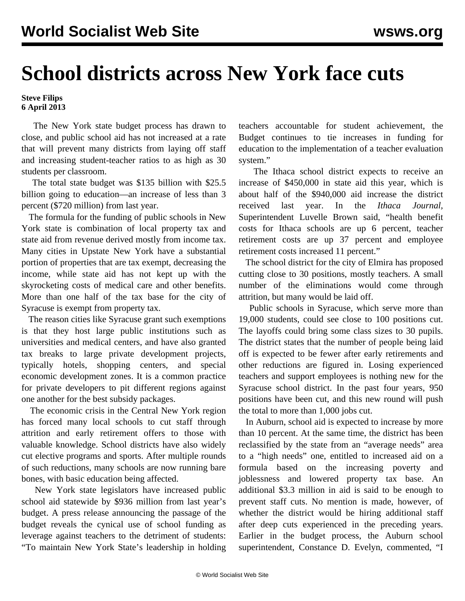## **School districts across New York face cuts**

## **Steve Filips 6 April 2013**

 The New York state budget process has drawn to close, and public school aid has not increased at a rate that will prevent many districts from laying off staff and increasing student-teacher ratios to as high as 30 students per classroom.

 The total state budget was \$135 billion with \$25.5 billion going to education—an increase of less than 3 percent (\$720 million) from last year.

 The formula for the funding of public schools in New York state is combination of local property tax and state aid from revenue derived mostly from income tax. Many cities in Upstate New York have a substantial portion of properties that are tax exempt, decreasing the income, while state aid has not kept up with the skyrocketing costs of medical care and other benefits. More than one half of the tax base for the city of Syracuse is exempt from property tax.

 The reason cities like Syracuse grant such exemptions is that they host large public institutions such as universities and medical centers, and have also granted tax breaks to large private development projects, typically hotels, shopping centers, and special economic development zones. It is a common practice for private developers to pit different regions against one another for the best subsidy packages.

 The economic crisis in the Central New York region has forced many local schools to cut staff through attrition and early retirement offers to those with valuable knowledge. School districts have also widely cut elective programs and sports. After multiple rounds of such reductions, many schools are now running bare bones, with basic education being affected.

 New York state legislators have increased public school aid statewide by \$936 million from last year's budget. A press release announcing the passage of the budget reveals the cynical use of school funding as leverage against teachers to the detriment of students: "To maintain New York State's leadership in holding teachers accountable for student achievement, the Budget continues to tie increases in funding for education to the implementation of a teacher evaluation system."

 The Ithaca school district expects to receive an increase of \$450,000 in state aid this year, which is about half of the \$940,000 aid increase the district received last year. In the *Ithaca Journal,* Superintendent Luvelle Brown said, "health benefit costs for Ithaca schools are up 6 percent, teacher retirement costs are up 37 percent and employee retirement costs increased 11 percent."

 The school district for the city of Elmira has proposed cutting close to 30 positions, mostly teachers. A small number of the eliminations would come through attrition, but many would be laid off.

 Public schools in Syracuse, which serve more than 19,000 students, could see close to 100 positions cut. The layoffs could bring some class sizes to 30 pupils. The district states that the number of people being laid off is expected to be fewer after early retirements and other reductions are figured in. Losing experienced teachers and support employees is nothing new for the Syracuse school district. In the past four years, 950 positions have been cut, and this new round will push the total to more than 1,000 jobs cut.

 In Auburn, school aid is expected to increase by more than 10 percent. At the same time, the district has been reclassified by the state from an "average needs" area to a "high needs" one, entitled to increased aid on a formula based on the increasing poverty and joblessness and lowered property tax base. An additional \$3.3 million in aid is said to be enough to prevent staff cuts. No mention is made, however, of whether the district would be hiring additional staff after deep cuts experienced in the preceding years. Earlier in the budget process, the Auburn school superintendent, Constance D. Evelyn, commented, "I